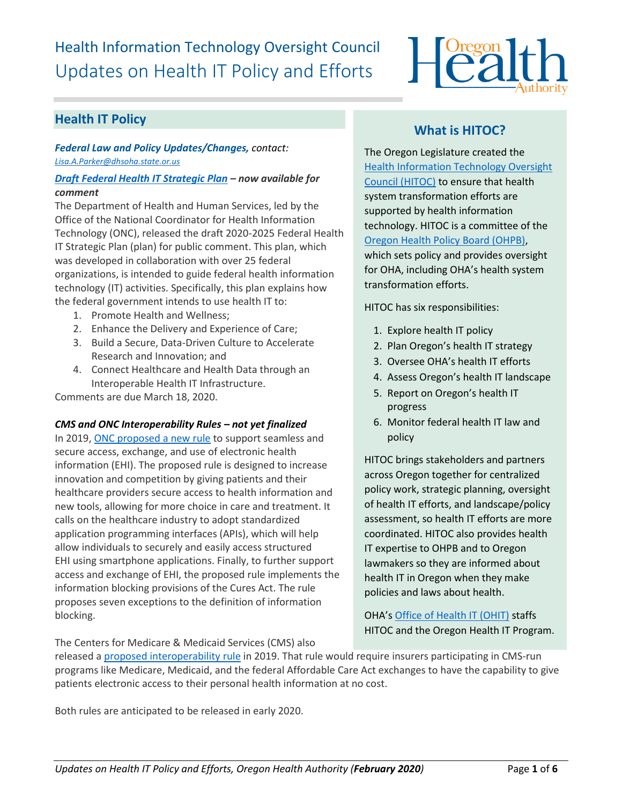# Health Information Technology Oversight Council Updates on Health IT Policy and Efforts



# **Health IT Policy**

*Federal Law and Policy Updates/Changes, contact: [Lisa.A.Parker@dhsoha.state.or.us](mailto:Lisa.A.Parker@dhsoha.state.or.us)*

#### *[Draft Federal Health IT Strategic Plan](https://www.healthit.gov/topic/2020-2025-federal-health-it-strategic-plan) – now available for comment*

The Department of Health and Human Services, led by the Office of the National Coordinator for Health Information Technology (ONC), released the draft 2020-2025 Federal Health IT Strategic Plan (plan) for public comment. This plan, which was developed in collaboration with over 25 federal organizations, is intended to guide federal health information technology (IT) activities. Specifically, this plan explains how the federal government intends to use health IT to:

- 1. Promote Health and Wellness;
- 2. Enhance the Delivery and Experience of Care;
- 3. Build a Secure, Data-Driven Culture to Accelerate Research and Innovation; and
- 4. Connect Healthcare and Health Data through an Interoperable Health IT Infrastructure.

Comments are due March 18, 2020.

#### *CMS and ONC Interoperability Rules – not yet finalized*

In 2019[, ONC proposed a new rule](https://www.healthit.gov/topic/laws-regulation-and-policy/notice-proposed-rulemaking-improve-interoperability-health) to support seamless and secure access, exchange, and use of electronic health information (EHI). The proposed rule is designed to increase innovation and competition by giving patients and their healthcare providers secure access to health information and new tools, allowing for more choice in care and treatment. It calls on the healthcare industry to adopt standardized application programming interfaces (APIs), which will help allow individuals to securely and easily access structured EHI using smartphone applications. Finally, to further support access and exchange of EHI, the proposed rule implements the information blocking provisions of the Cures Act. The rule proposes seven exceptions to the definition of information blocking.

The Centers for Medicare & Medicaid Services (CMS) also

# **What is HITOC?**

The Oregon Legislature created the [Health Information Technology Oversight](http://www.oregon.gov/oha/ohpr/hitoc/Pages/index.aspx)  [Council \(HITOC\)](http://www.oregon.gov/oha/ohpr/hitoc/Pages/index.aspx) to ensure that health system transformation efforts are supported by health information technology. HITOC is a committee of the [Oregon Health Policy Board \(OHPB\),](https://www.oregon.gov/OHA/OHPB/Pages/index.aspx) which sets policy and provides oversight for OHA, including OHA's health system transformation efforts.

HITOC has six responsibilities:

- 1. Explore health IT policy
- 2. Plan Oregon's health IT strategy
- 3. Oversee OHA's health IT efforts
- 4. Assess Oregon's health IT landscape
- 5. Report on Oregon's health IT progress
- 6. Monitor federal health IT law and policy

HITOC brings stakeholders and partners across Oregon together for centralized policy work, strategic planning, oversight of health IT efforts, and landscape/policy assessment, so health IT efforts are more coordinated. HITOC also provides health IT expertise to OHPB and to Oregon lawmakers so they are informed about health IT in Oregon when they make policies and laws about health.

OHA's [Office of Health IT](https://www.oregon.gov/oha/HPA/OHIT/Pages/About.aspx) (OHIT) staffs HITOC and the Oregon Health IT Program.

released a [proposed interoperability](https://www.cms.gov/Center/Special-Topic/Interoperability/CMS-9115-P.pdf) rule in 2019. That rule would require insurers participating in CMS-run programs like Medicare, Medicaid, and the federal Affordable Care Act exchanges to have the capability to give patients electronic access to their personal health information at no cost.

Both rules are anticipated to be released in early 2020.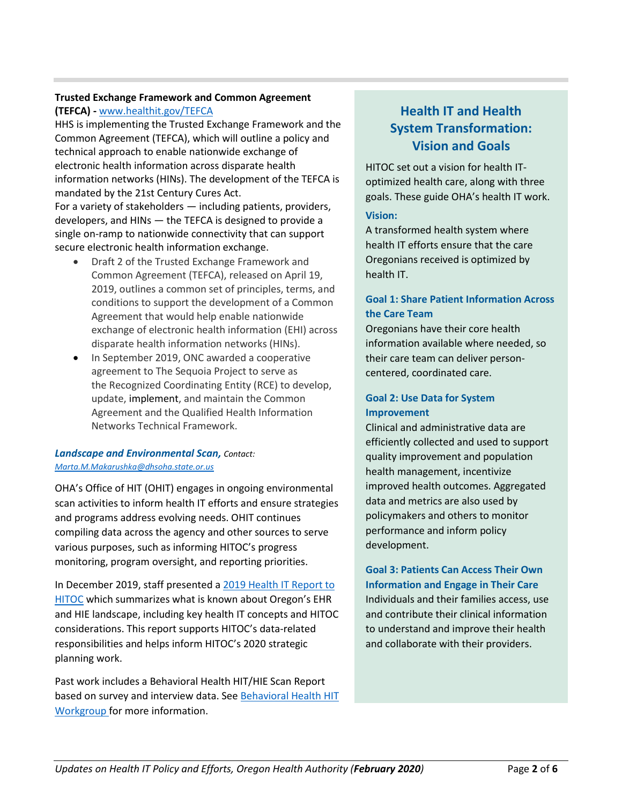#### **Trusted Exchange Framework and Common Agreement (TEFCA) -** [www.healthit.gov/TEFCA](http://www.healthit.gov/TEFCA)

HHS is implementing the Trusted Exchange Framework and the Common Agreement (TEFCA), which will outline a policy and technical approach to enable nationwide exchange of electronic health information across disparate health information networks (HINs). The development of the TEFCA is mandated by the 21st Century Cures Act. For a variety of stakeholders — including patients, providers, developers, and HINs — the TEFCA is designed to provide a single on-ramp to nationwide connectivity that can support secure electronic health information exchange.

- Draft 2 of the Trusted Exchange Framework and Common Agreement (TEFCA), released on April 19, 2019, outlines a common set of principles, terms, and conditions to support the development of a Common Agreement that would help enable nationwide exchange of electronic health information (EHI) across disparate health information networks (HINs).
- In September 2019, ONC awarded a cooperative agreement to The Sequoia Project to serve as the Recognized Coordinating Entity (RCE) to develop, update, implement, and maintain the Common Agreement and the Qualified Health Information Networks Technical Framework.

#### *Landscape and Environmental Scan, Contact: [Marta.M.Makarushka@dhsoha.state.or.us](mailto:Marta.M.Makarushka@dhsoha.state.or.us)*

OHA's Office of HIT (OHIT) engages in ongoing environmental scan activities to inform health IT efforts and ensure strategies and programs address evolving needs. OHIT continues compiling data across the agency and other sources to serve various purposes, such as informing HITOC's progress monitoring, program oversight, and reporting priorities.

In December 2019, staff presented [a 2019 Health IT Report to](https://www.oregon.gov/oha/HPA/OHIT-HITOC/HITOC%20Meeting%20Docs/2019_HIT_Report_for_HITOC_Review.pdf)  [HITOC](https://www.oregon.gov/oha/HPA/OHIT-HITOC/HITOC%20Meeting%20Docs/2019_HIT_Report_for_HITOC_Review.pdf) which summarizes what is known about Oregon's EHR and HIE landscape, including key health IT concepts and HITOC considerations. This report supports HITOC's data-related responsibilities and helps inform HITOC's 2020 strategic planning work.

Past work includes a Behavioral Health HIT/HIE Scan Report based on survey and interview data. Se[e Behavioral Health HIT](https://www.oregon.gov/oha/HPA/OHIT-HITOC/Pages/Behavioral-Health-HIT.aspx) [Workgroup f](https://www.oregon.gov/oha/HPA/OHIT-HITOC/Pages/Behavioral-Health-HIT.aspx)or more information.

# **Health IT and Health System Transformation: Vision and Goals**

HITOC set out a vision for health IToptimized health care, along with three goals. These guide OHA's health IT work.

#### **Vision:**

A transformed health system where health IT efforts ensure that the care Oregonians received is optimized by health IT.

## **Goal 1: Share Patient Information Across the Care Team**

Oregonians have their core health information available where needed, so their care team can deliver personcentered, coordinated care.

#### **Goal 2: Use Data for System Improvement**

Clinical and administrative data are efficiently collected and used to support quality improvement and population health management, incentivize improved health outcomes. Aggregated data and metrics are also used by policymakers and others to monitor performance and inform policy development.

**Goal 3: Patients Can Access Their Own Information and Engage in Their Care**  Individuals and their families access, use and contribute their clinical information to understand and improve their health and collaborate with their providers.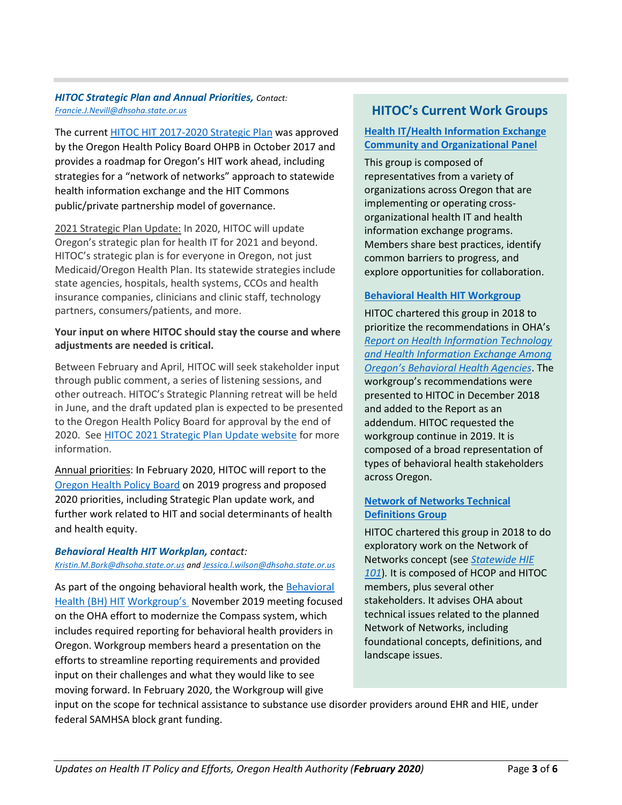#### *HITOC Strategic Plan and Annual Priorities, Contact: [Francie.J.Nevill@dhsoha.state.or.us](mailto:Francie.J.Nevill@dhsoha.state.or.us)*

The current [HITOC HIT 2017-2020 Strategic Plan](http://www.oregon.gov/oha/HPA/OHIT/Resources/Strategic%20Plan%20for%20HIT%20and%20HIE%20(Sept.%202017).pdf) was approved by the Oregon Health Policy Board OHPB in October 2017 and provides a roadmap for Oregon's HIT work ahead, including strategies for a "network of networks" approach to statewide health information exchange and the HIT Commons public/private partnership model of governance.

2021 Strategic Plan Update: In 2020, HITOC will update Oregon's strategic plan for health IT for 2021 and beyond. HITOC's strategic plan is for everyone in Oregon, not just Medicaid/Oregon Health Plan. Its statewide strategies include state agencies, hospitals, health systems, CCOs and health insurance companies, clinicians and clinic staff, technology partners, consumers/patients, and more.

#### **Your input on where HITOC should stay the course and where adjustments are needed is critical.**

Between February and April, HITOC will seek stakeholder input through public comment, a series of listening sessions, and other outreach. HITOC's Strategic Planning retreat will be held in June, and the draft updated plan is expected to be presented to the Oregon Health Policy Board for approval by the end of 2020. Se[e HITOC 2021 Strategic Plan Update website](https://www.oregon.gov/oha/HPA/OHIT-HITOC/Pages/SP21-Home.aspx) for more information.

Annual priorities: In February 2020, HITOC will report to the [Oregon Health Policy Board](https://www.oregon.gov/OHA/OHPB/Pages/OHPB-Meetings.aspx) on 2019 progress and proposed 2020 priorities, including Strategic Plan update work, and further work related to HIT and social determinants of health and health equity.

#### *Behavioral Health HIT Workplan, contact: [Kristin.M.Bork@dhsoha.state.or.us](mailto:Kristin.M.Bork@dhsoha.state.or.us) an[d Jessica.l.wilson@dhsoha.state.or.us](mailto:Jessica.l.wilson@dhsoha.state.or.us)*

As part of the ongoing behavioral health work, the Behavioral [Health \(BH\) HIT](https://www.oregon.gov/oha/HPA/OHIT-HITOC/Pages/Behavioral-Health-HIT.aspx) [Workgroup's](https://www.oregon.gov/oha/HPA/OHIT-HITOC/Pages/Behavioral-Health-HIT.aspx) November 2019 meeting focused on the OHA effort to modernize the Compass system, which includes required reporting for behavioral health providers in Oregon. Workgroup members heard a presentation on the efforts to streamline reporting requirements and provided input on their challenges and what they would like to see moving forward. In February 2020, the Workgroup will give

# **HITOC's Current Work Groups**

#### **[Health IT/Health Information Exchange](https://www.oregon.gov/oha/HPA/OHIT-HITOC/Pages/HCOP.aspx)  [Community and Organizational Panel](https://www.oregon.gov/oha/HPA/OHIT-HITOC/Pages/HCOP.aspx)**

This group is composed of representatives from a variety of organizations across Oregon that are implementing or operating crossorganizational health IT and health information exchange programs. Members share best practices, identify common barriers to progress, and explore opportunities for collaboration.

#### **[Behavioral Health HIT Workgroup](https://www.oregon.gov/oha/HPA/OHIT-HITOC/Pages/Behavioral-Health-HIT.aspx)**

HITOC chartered this group in 2018 to prioritize the recommendations in OHA's *[Report on Health Information Technology](https://www.oregon.gov/oha/HPA/OHIT/Resources/BH%20HIT%20Draft%20Report%2012-1-2017%20for%20HITOC%20Review.pdf)  [and Health Information Exchange Among](https://www.oregon.gov/oha/HPA/OHIT/Resources/BH%20HIT%20Draft%20Report%2012-1-2017%20for%20HITOC%20Review.pdf)  [Oregon's Behavioral Health Agencies](https://www.oregon.gov/oha/HPA/OHIT/Resources/BH%20HIT%20Draft%20Report%2012-1-2017%20for%20HITOC%20Review.pdf)*. The workgroup's recommendations were presented to HITOC in December 2018 and added to the Report as an addendum. HITOC requested the workgroup continue in 2019. It is composed of a broad representation of types of behavioral health stakeholders across Oregon.

#### **[Network of Networks Technical](https://www.oregon.gov/oha/HPA/OHIT-HITOC/Pages/Network-of-Networks-Meetings.aspx)  [Definitions Group](https://www.oregon.gov/oha/HPA/OHIT-HITOC/Pages/Network-of-Networks-Meetings.aspx)**

HITOC chartered this group in 2018 to do exploratory work on the Network of Networks concept (see *[Statewide HIE](https://www.oregon.gov/oha/HPA/OHIT-HITOC/Documents/StatewideHIE101.pdf)  [101](https://www.oregon.gov/oha/HPA/OHIT-HITOC/Documents/StatewideHIE101.pdf)*)*.* It is composed of HCOP and HITOC members, plus several other stakeholders. It advises OHA about technical issues related to the planned Network of Networks, including foundational concepts, definitions, and landscape issues.

input on the scope for technical assistance to substance use disorder providers around EHR and HIE, under federal SAMHSA block grant funding.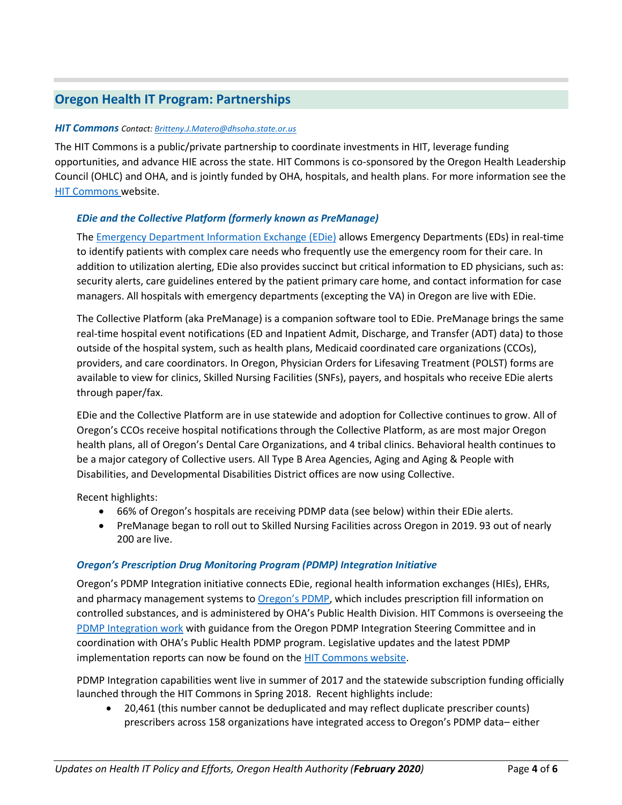# **Oregon Health IT Program: Partnerships**

#### *HIT Commons Contact[: Britteny.J.Matero@dhsoha.state.or.us](mailto:Britteny.J.Matero@dhsoha.state.or.us)*

The HIT Commons is a public/private partnership to coordinate investments in HIT, leverage funding opportunities, and advance HIE across the state. HIT Commons is co-sponsored by the Oregon Health Leadership Council (OHLC) and OHA, and is jointly funded by OHA, hospitals, and health plans. For more information see the [HIT Commons w](http://www.orhealthleadershipcouncil.org/hit-commons/)ebsite.

#### *EDie and the Collective Platform (formerly known as PreManage)*

Th[e Emergency Department Information Exchange \(EDie\)](http://www.orhealthleadershipcouncil.org/edie/) allows Emergency Departments (EDs) in real-time to identify patients with complex care needs who frequently use the emergency room for their care. In addition to utilization alerting, EDie also provides succinct but critical information to ED physicians, such as: security alerts, care guidelines entered by the patient primary care home, and contact information for case managers. All hospitals with emergency departments (excepting the VA) in Oregon are live with EDie.

The Collective Platform (aka PreManage) is a companion software tool to EDie. PreManage brings the same real-time hospital event notifications (ED and Inpatient Admit, Discharge, and Transfer (ADT) data) to those outside of the hospital system, such as health plans, Medicaid coordinated care organizations (CCOs), providers, and care coordinators. In Oregon, Physician Orders for Lifesaving Treatment (POLST) forms are available to view for clinics, Skilled Nursing Facilities (SNFs), payers, and hospitals who receive EDie alerts through paper/fax.

EDie and the Collective Platform are in use statewide and adoption for Collective continues to grow. All of Oregon's CCOs receive hospital notifications through the Collective Platform, as are most major Oregon health plans, all of Oregon's Dental Care Organizations, and 4 tribal clinics. Behavioral health continues to be a major category of Collective users. All Type B Area Agencies, Aging and Aging & People with Disabilities, and Developmental Disabilities District offices are now using Collective.

Recent highlights:

- 66% of Oregon's hospitals are receiving PDMP data (see below) within their EDie alerts.
- PreManage began to roll out to Skilled Nursing Facilities across Oregon in 2019. 93 out of nearly 200 are live.

#### *Oregon's Prescription Drug Monitoring Program (PDMP) Integration Initiative*

Oregon's PDMP Integration initiative connects EDie, regional health information exchanges (HIEs), EHRs, and pharmacy management systems to [Oregon's PDMP](http://www.orpdmp.com/), which includes prescription fill information on controlled substances, and is administered by OHA's Public Health Division. HIT Commons is overseeing the [PDMP Integration work](http://www.orhealthleadershipcouncil.org/pdmp-integration/) with guidance from the Oregon PDMP Integration Steering Committee and in coordination with OHA's Public Health PDMP program. Legislative updates and the latest PDMP implementation reports can now be found on th[e HIT Commons website.](http://www.orhealthleadershipcouncil.org/hit-commons/)

PDMP Integration capabilities went live in summer of 2017 and the statewide subscription funding officially launched through the HIT Commons in Spring 2018. Recent highlights include:

• 20,461 (this number cannot be deduplicated and may reflect duplicate prescriber counts) prescribers across 158 organizations have integrated access to Oregon's PDMP data– either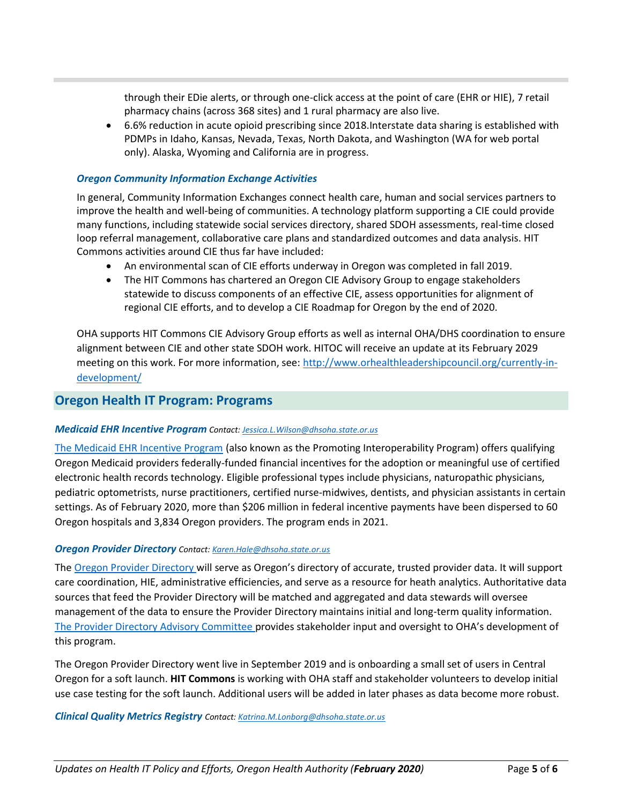through their EDie alerts, or through one-click access at the point of care (EHR or HIE), 7 retail pharmacy chains (across 368 sites) and 1 rural pharmacy are also live.

• 6.6% reduction in acute opioid prescribing since 2018.Interstate data sharing is established with PDMPs in Idaho, Kansas, Nevada, Texas, North Dakota, and Washington (WA for web portal only). Alaska, Wyoming and California are in progress.

#### *Oregon Community Information Exchange Activities*

In general, Community Information Exchanges connect health care, human and social services partners to improve the health and well-being of communities. A technology platform supporting a CIE could provide many functions, including statewide social services directory, shared SDOH assessments, real-time closed loop referral management, collaborative care plans and standardized outcomes and data analysis. HIT Commons activities around CIE thus far have included:

- An environmental scan of CIE efforts underway in Oregon was completed in fall 2019.
- The HIT Commons has chartered an Oregon CIE Advisory Group to engage stakeholders statewide to discuss components of an effective CIE, assess opportunities for alignment of regional CIE efforts, and to develop a CIE Roadmap for Oregon by the end of 2020.

OHA supports HIT Commons CIE Advisory Group efforts as well as internal OHA/DHS coordination to ensure alignment between CIE and other state SDOH work. HITOC will receive an update at its February 2029 meeting on this work. For more information, see: [http://www.orhealthleadershipcouncil.org/currently-in](http://www.orhealthleadershipcouncil.org/currently-in-development/)[development/](http://www.orhealthleadershipcouncil.org/currently-in-development/)

#### **Oregon Health IT Program: Programs**

#### *Medicaid EHR Incentive Program Contact[: Jessica.L.Wilson@dhsoha.state.or.us](mailto:Jessica.L.Wilson@dhsoha.state.or.us)*

[The Medicaid EHR Incentive Program](https://www.oregon.gov/oha/MHIT/pages/index.aspx) (also known as the Promoting Interoperability Program) offers qualifying Oregon Medicaid providers federally-funded financial incentives for the adoption or meaningful use of certified electronic health records technology. Eligible professional types include physicians, naturopathic physicians, pediatric optometrists, nurse practitioners, certified nurse-midwives, dentists, and physician assistants in certain settings. As of February 2020, more than \$206 million in federal incentive payments have been dispersed to 60 Oregon hospitals and 3,834 Oregon providers. The program ends in 2021.

#### *Oregon Provider Directory Contact: [Karen.Hale@dhsoha.state.or.us](mailto:Karen.Hale@dhsoha.state.or.us)*

The [Oregon Provider Directory](https://www.oregon.gov/oha/HPA/OHIT/Pages/PD-Overview.aspx) will serve as Oregon's directory of accurate, trusted provider data. It will support care coordination, HIE, administrative efficiencies, and serve as a resource for heath analytics. Authoritative data sources that feed the Provider Directory will be matched and aggregated and data stewards will oversee management of the data to ensure the Provider Directory maintains initial and long-term quality information. [The Provider Directory Advisory Committee](https://www.oregon.gov/oha/HPA/OHIT/Pages/PDAC.aspx) provides stakeholder input and oversight to OHA's development of this program.

The Oregon Provider Directory went live in September 2019 and is onboarding a small set of users in Central Oregon for a soft launch. **HIT Commons** is working with OHA staff and stakeholder volunteers to develop initial use case testing for the soft launch. Additional users will be added in later phases as data become more robust.

#### *Clinical Quality Metrics Registry Contact: [Katrina.M.Lonborg@dhsoha.state.or.us](mailto:Katrina.M.Lonborg@dhsoha.state.or.us)*